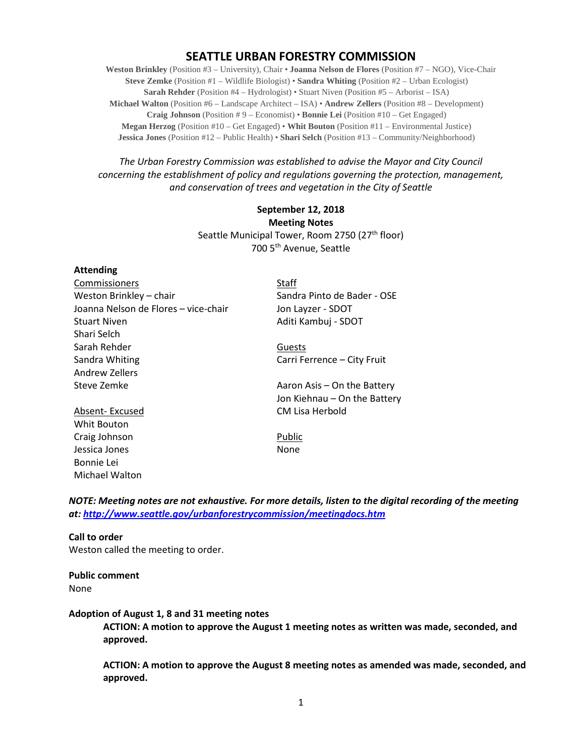# **SEATTLE URBAN FORESTRY COMMISSION**

**Weston Brinkley** (Position #3 – University), Chair • **Joanna Nelson de Flores** (Position #7 – NGO), Vice-Chair **Steve Zemke** (Position #1 – Wildlife Biologist) • **Sandra Whiting** (Position #2 – Urban Ecologist) **Sarah Rehder** (Position #4 – Hydrologist) • Stuart Niven (Position #5 – Arborist – ISA) **Michael Walton** (Position #6 – Landscape Architect – ISA) • **Andrew Zellers** (Position #8 – Development) **Craig Johnson** (Position # 9 – Economist) • **Bonnie Lei** (Position #10 – Get Engaged) **Megan Herzog** (Position #10 – Get Engaged) • **Whit Bouton** (Position #11 – Environmental Justice) **Jessica Jones** (Position #12 – Public Health) • **Shari Selch** (Position #13 – Community/Neighborhood)

*The Urban Forestry Commission was established to advise the Mayor and City Council concerning the establishment of policy and regulations governing the protection, management, and conservation of trees and vegetation in the City of Seattle*

## **September 12, 2018 Meeting Notes** Seattle Municipal Tower, Room 2750 (27<sup>th</sup> floor) 700 5th Avenue, Seattle

#### **Attending**

| Commissioners                        | Staff |
|--------------------------------------|-------|
| Weston Brinkley - chair              | Sand  |
| Joanna Nelson de Flores – vice-chair | Jon L |
| <b>Stuart Niven</b>                  | Aditi |
| Shari Selch                          |       |
| Sarah Rehder                         | Gues  |
| Sandra Whiting                       | Carri |
| Andrew Zellers                       |       |
| Steve Zemke                          | Aaroi |
|                                      | Jon K |
| Absent- Excused                      | CM L  |

Whit Bouton Craig Johnson **Public** Jessica Jones None Bonnie Lei Michael Walton

Sandra Pinto de Bader - OSE Jon Layzer - SDOT Aditi Kambuj - SDOT

Guests Carri Ferrence – City Fruit

Aaron Asis – On the Battery Jon Kiehnau – On the Battery CM Lisa Herbold

*NOTE: Meeting notes are not exhaustive. For more details, listen to the digital recording of the meeting at:<http://www.seattle.gov/urbanforestrycommission/meetingdocs.htm>*

#### **Call to order**

Weston called the meeting to order.

#### **Public comment** None

#### **Adoption of August 1, 8 and 31 meeting notes**

**ACTION: A motion to approve the August 1 meeting notes as written was made, seconded, and approved.**

**ACTION: A motion to approve the August 8 meeting notes as amended was made, seconded, and approved.**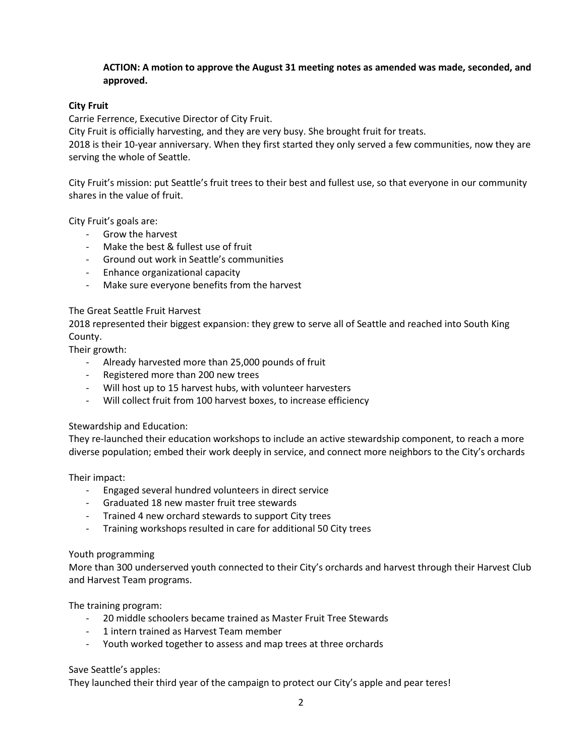### **ACTION: A motion to approve the August 31 meeting notes as amended was made, seconded, and approved.**

### **City Fruit**

Carrie Ferrence, Executive Director of City Fruit.

City Fruit is officially harvesting, and they are very busy. She brought fruit for treats.

2018 is their 10-year anniversary. When they first started they only served a few communities, now they are serving the whole of Seattle.

City Fruit's mission: put Seattle's fruit trees to their best and fullest use, so that everyone in our community shares in the value of fruit.

City Fruit's goals are:

- Grow the harvest
- Make the best & fullest use of fruit
- Ground out work in Seattle's communities
- Enhance organizational capacity
- Make sure everyone benefits from the harvest

#### The Great Seattle Fruit Harvest

2018 represented their biggest expansion: they grew to serve all of Seattle and reached into South King County.

Their growth:

- Already harvested more than 25,000 pounds of fruit
- Registered more than 200 new trees
- Will host up to 15 harvest hubs, with volunteer harvesters
- Will collect fruit from 100 harvest boxes, to increase efficiency

#### Stewardship and Education:

They re-launched their education workshops to include an active stewardship component, to reach a more diverse population; embed their work deeply in service, and connect more neighbors to the City's orchards

Their impact:

- Engaged several hundred volunteers in direct service
- Graduated 18 new master fruit tree stewards
- Trained 4 new orchard stewards to support City trees
- Training workshops resulted in care for additional 50 City trees

#### Youth programming

More than 300 underserved youth connected to their City's orchards and harvest through their Harvest Club and Harvest Team programs.

The training program:

- 20 middle schoolers became trained as Master Fruit Tree Stewards
- 1 intern trained as Harvest Team member
- Youth worked together to assess and map trees at three orchards

#### Save Seattle's apples:

They launched their third year of the campaign to protect our City's apple and pear teres!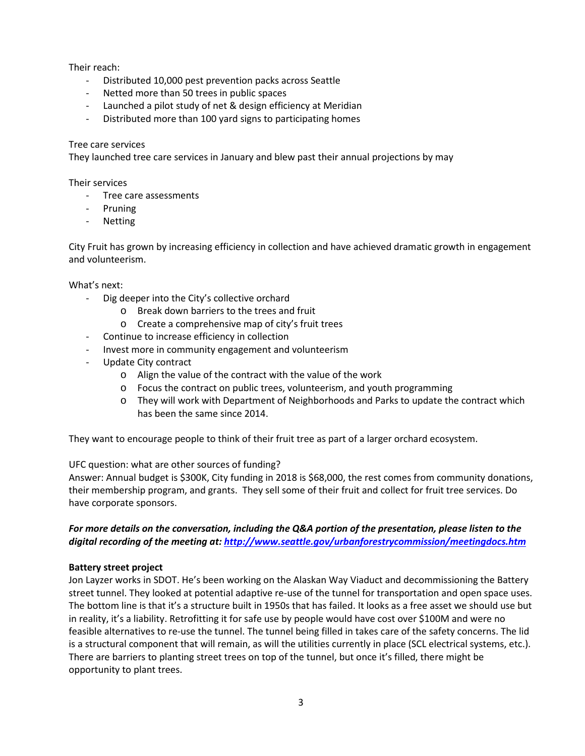Their reach:

- Distributed 10,000 pest prevention packs across Seattle
- Netted more than 50 trees in public spaces
- Launched a pilot study of net & design efficiency at Meridian
- Distributed more than 100 yard signs to participating homes

#### Tree care services

They launched tree care services in January and blew past their annual projections by may

#### Their services

- Tree care assessments
- Pruning
- **Netting**

City Fruit has grown by increasing efficiency in collection and have achieved dramatic growth in engagement and volunteerism.

What's next:

- Dig deeper into the City's collective orchard
	- o Break down barriers to the trees and fruit
	- o Create a comprehensive map of city's fruit trees
- Continue to increase efficiency in collection
- Invest more in community engagement and volunteerism
- Update City contract
	- o Align the value of the contract with the value of the work
	- o Focus the contract on public trees, volunteerism, and youth programming
	- o They will work with Department of Neighborhoods and Parks to update the contract which has been the same since 2014.

They want to encourage people to think of their fruit tree as part of a larger orchard ecosystem.

UFC question: what are other sources of funding?

Answer: Annual budget is \$300K, City funding in 2018 is \$68,000, the rest comes from community donations, their membership program, and grants. They sell some of their fruit and collect for fruit tree services. Do have corporate sponsors.

## *For more details on the conversation, including the Q&A portion of the presentation, please listen to the digital recording of the meeting at[: http://www.seattle.gov/urbanforestrycommission/meetingdocs.htm](http://www.seattle.gov/urbanforestrycommission/meetingdocs.htm)*

#### **Battery street project**

Jon Layzer works in SDOT. He's been working on the Alaskan Way Viaduct and decommissioning the Battery street tunnel. They looked at potential adaptive re-use of the tunnel for transportation and open space uses. The bottom line is that it's a structure built in 1950s that has failed. It looks as a free asset we should use but in reality, it's a liability. Retrofitting it for safe use by people would have cost over \$100M and were no feasible alternatives to re-use the tunnel. The tunnel being filled in takes care of the safety concerns. The lid is a structural component that will remain, as will the utilities currently in place (SCL electrical systems, etc.). There are barriers to planting street trees on top of the tunnel, but once it's filled, there might be opportunity to plant trees.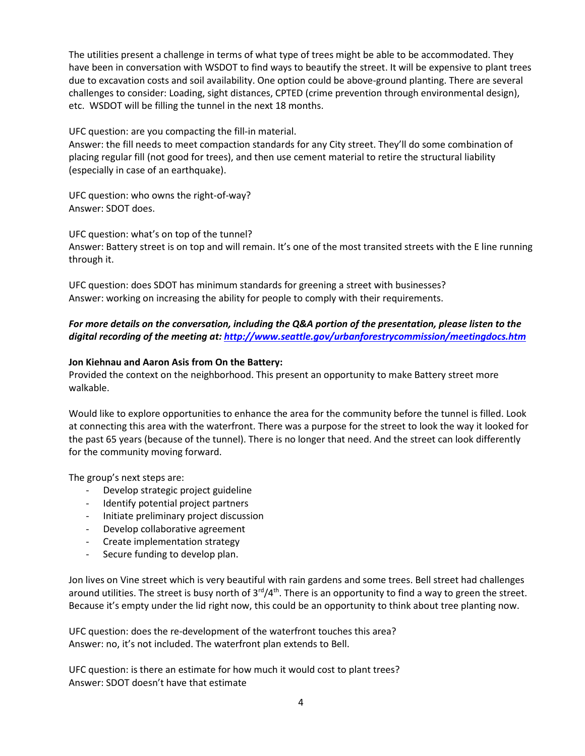The utilities present a challenge in terms of what type of trees might be able to be accommodated. They have been in conversation with WSDOT to find ways to beautify the street. It will be expensive to plant trees due to excavation costs and soil availability. One option could be above-ground planting. There are several challenges to consider: Loading, sight distances, CPTED (crime prevention through environmental design), etc. WSDOT will be filling the tunnel in the next 18 months.

UFC question: are you compacting the fill-in material.

Answer: the fill needs to meet compaction standards for any City street. They'll do some combination of placing regular fill (not good for trees), and then use cement material to retire the structural liability (especially in case of an earthquake).

UFC question: who owns the right-of-way? Answer: SDOT does.

UFC question: what's on top of the tunnel? Answer: Battery street is on top and will remain. It's one of the most transited streets with the E line running through it.

UFC question: does SDOT has minimum standards for greening a street with businesses? Answer: working on increasing the ability for people to comply with their requirements.

*For more details on the conversation, including the Q&A portion of the presentation, please listen to the digital recording of the meeting at[: http://www.seattle.gov/urbanforestrycommission/meetingdocs.htm](http://www.seattle.gov/urbanforestrycommission/meetingdocs.htm)*

#### **Jon Kiehnau and Aaron Asis from On the Battery:**

Provided the context on the neighborhood. This present an opportunity to make Battery street more walkable.

Would like to explore opportunities to enhance the area for the community before the tunnel is filled. Look at connecting this area with the waterfront. There was a purpose for the street to look the way it looked for the past 65 years (because of the tunnel). There is no longer that need. And the street can look differently for the community moving forward.

The group's next steps are:

- Develop strategic project guideline
- Identify potential project partners
- Initiate preliminary project discussion
- Develop collaborative agreement
- Create implementation strategy
- Secure funding to develop plan.

Jon lives on Vine street which is very beautiful with rain gardens and some trees. Bell street had challenges around utilities. The street is busy north of  $3^{rd}/4^{th}$ . There is an opportunity to find a way to green the street. Because it's empty under the lid right now, this could be an opportunity to think about tree planting now.

UFC question: does the re-development of the waterfront touches this area? Answer: no, it's not included. The waterfront plan extends to Bell.

UFC question: is there an estimate for how much it would cost to plant trees? Answer: SDOT doesn't have that estimate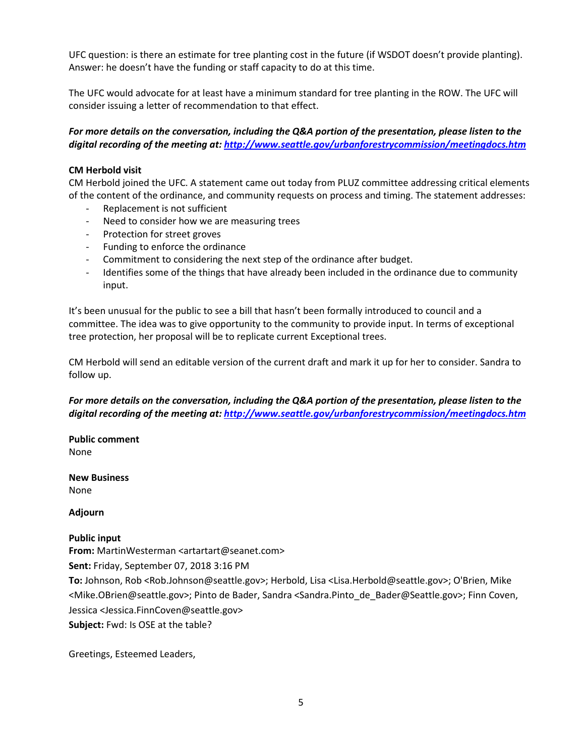UFC question: is there an estimate for tree planting cost in the future (if WSDOT doesn't provide planting). Answer: he doesn't have the funding or staff capacity to do at this time.

The UFC would advocate for at least have a minimum standard for tree planting in the ROW. The UFC will consider issuing a letter of recommendation to that effect.

*For more details on the conversation, including the Q&A portion of the presentation, please listen to the digital recording of the meeting at[: http://www.seattle.gov/urbanforestrycommission/meetingdocs.htm](http://www.seattle.gov/urbanforestrycommission/meetingdocs.htm)*

### **CM Herbold visit**

CM Herbold joined the UFC. A statement came out today from PLUZ committee addressing critical elements of the content of the ordinance, and community requests on process and timing. The statement addresses:

- Replacement is not sufficient
- Need to consider how we are measuring trees
- Protection for street groves
- Funding to enforce the ordinance
- Commitment to considering the next step of the ordinance after budget.
- Identifies some of the things that have already been included in the ordinance due to community input.

It's been unusual for the public to see a bill that hasn't been formally introduced to council and a committee. The idea was to give opportunity to the community to provide input. In terms of exceptional tree protection, her proposal will be to replicate current Exceptional trees.

CM Herbold will send an editable version of the current draft and mark it up for her to consider. Sandra to follow up.

## *For more details on the conversation, including the Q&A portion of the presentation, please listen to the digital recording of the meeting at[: http://www.seattle.gov/urbanforestrycommission/meetingdocs.htm](http://www.seattle.gov/urbanforestrycommission/meetingdocs.htm)*

**Public comment** None

**New Business** None

**Adjourn**

#### **Public input**

**From:** MartinWesterman <artartart@seanet.com>

**Sent:** Friday, September 07, 2018 3:16 PM

**To:** Johnson, Rob <Rob.Johnson@seattle.gov>; Herbold, Lisa <Lisa.Herbold@seattle.gov>; O'Brien, Mike <Mike.OBrien@seattle.gov>; Pinto de Bader, Sandra <Sandra.Pinto\_de\_Bader@Seattle.gov>; Finn Coven, Jessica <Jessica.FinnCoven@seattle.gov>

**Subject:** Fwd: Is OSE at the table?

Greetings, Esteemed Leaders,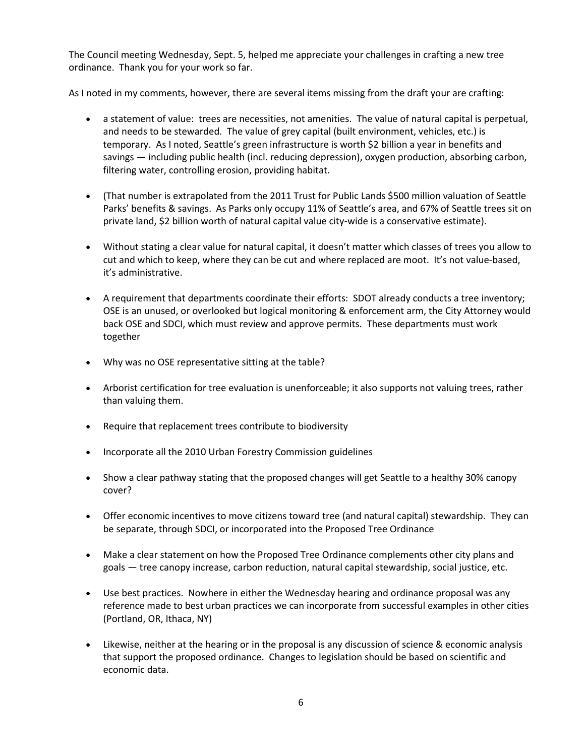The Council meeting Wednesday, Sept. 5, helped me appreciate your challenges in crafting a new tree ordinance. Thank you for your work so far.

As I noted in my comments, however, there are several items missing from the draft your are crafting:

- a statement of value: trees are necessities, not amenities. The value of natural capital is perpetual, and needs to be stewarded. The value of grey capital (built environment, vehicles, etc.) is temporary. As I noted, Seattle's green infrastructure is worth \$2 billion a year in benefits and savings — including public health (incl. reducing depression), oxygen production, absorbing carbon, filtering water, controlling erosion, providing habitat.
- (That number is extrapolated from the 2011 Trust for Public Lands \$500 million valuation of Seattle Parks' benefits & savings. As Parks only occupy 11% of Seattle's area, and 67% of Seattle trees sit on private land, \$2 billion worth of natural capital value city-wide is a conservative estimate).
- Without stating a clear value for natural capital, it doesn't matter which classes of trees you allow to cut and which to keep, where they can be cut and where replaced are moot. It's not value-based, it's administrative.
- A requirement that departments coordinate their efforts: SDOT already conducts a tree inventory; OSE is an unused, or overlooked but logical monitoring & enforcement arm, the City Attorney would back OSE and SDCI, which must review and approve permits. These departments must work together
- Why was no OSE representative sitting at the table?
- Arborist certification for tree evaluation is unenforceable; it also supports not valuing trees, rather than valuing them.
- Require that replacement trees contribute to biodiversity
- Incorporate all the 2010 Urban Forestry Commission guidelines
- Show a clear pathway stating that the proposed changes will get Seattle to a healthy 30% canopy cover?
- Offer economic incentives to move citizens toward tree (and natural capital) stewardship. They can be separate, through SDCI, or incorporated into the Proposed Tree Ordinance
- Make a clear statement on how the Proposed Tree Ordinance complements other city plans and goals — tree canopy increase, carbon reduction, natural capital stewardship, social justice, etc.
- Use best practices. Nowhere in either the Wednesday hearing and ordinance proposal was any reference made to best urban practices we can incorporate from successful examples in other cities (Portland, OR, Ithaca, NY)
- Likewise, neither at the hearing or in the proposal is any discussion of science & economic analysis that support the proposed ordinance. Changes to legislation should be based on scientific and economic data.